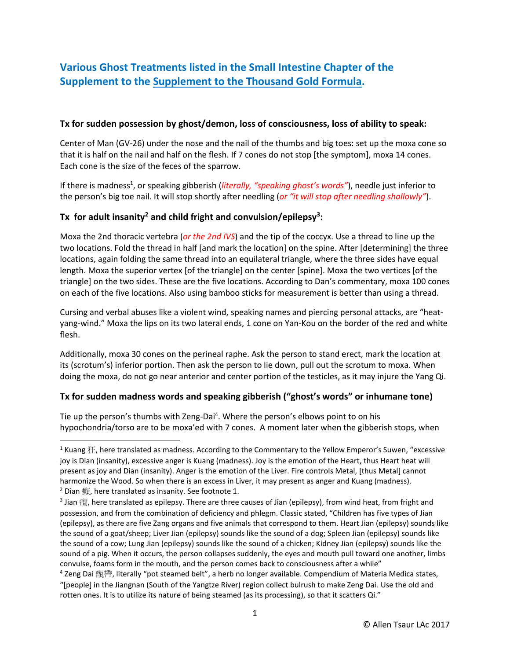# **Various Ghost Treatments listed in the Small Intestine Chapter of the Supplement to the Supplement to the Thousand Gold Formula.**

#### **Tx for sudden possession by ghost/demon, loss of consciousness, loss of ability to speak:**

Center of Man (GV-26) under the nose and the nail of the thumbs and big toes: set up the moxa cone so that it is half on the nail and half on the flesh. If 7 cones do not stop [the symptom], moxa 14 cones. Each cone is the size of the feces of the sparrow.

If there is madness<sup>1</sup>, or speaking gibberish (*literally, "speaking ghost's words"*), needle just inferior to the person's big toe nail. It will stop shortly after needling (*or "it will stop after needling shallowly"*).

## **Tx for adult insanity<sup>2</sup> and child fright and convulsion/epilepsy<sup>3</sup> :**

Moxa the 2nd thoracic vertebra (*or the 2nd IVS*) and the tip of the coccyx. Use a thread to line up the two locations. Fold the thread in half [and mark the location] on the spine. After [determining] the three locations, again folding the same thread into an equilateral triangle, where the three sides have equal length. Moxa the superior vertex [of the triangle] on the center [spine]. Moxa the two vertices [of the triangle] on the two sides. These are the five locations. According to Dan's commentary, moxa 100 cones on each of the five locations. Also using bamboo sticks for measurement is better than using a thread.

Cursing and verbal abuses like a violent wind, speaking names and piercing personal attacks, are "heatyang-wind." Moxa the lips on its two lateral ends, 1 cone on Yan-Kou on the border of the red and white flesh.

Additionally, moxa 30 cones on the perineal raphe. Ask the person to stand erect, mark the location at its (scrotum's) inferior portion. Then ask the person to lie down, pull out the scrotum to moxa. When doing the moxa, do not go near anterior and center portion of the testicles, as it may injure the Yang Qi.

### **Tx for sudden madness words and speaking gibberish ("ghost's words" or inhumane tone)**

Tie up the person's thumbs with Zeng-Dai<sup>4</sup>. Where the person's elbows point to on his hypochondria/torso are to be moxa'ed with 7 cones. A moment later when the gibberish stops, when

l

<sup>&</sup>lt;sup>1</sup> Kuang  $H$ , here translated as madness. According to the Commentary to the Yellow Emperor's Suwen, "excessive joy is Dian (insanity), excessive anger is Kuang (madness). Joy is the emotion of the Heart, thus Heart heat will present as joy and Dian (insanity). Anger is the emotion of the Liver. Fire controls Metal, [thus Metal] cannot harmonize the Wood. So when there is an excess in Liver, it may present as anger and Kuang (madness).

 $2$  Dian  $\tilde{m}$ , here translated as insanity. See footnote 1.

<sup>&</sup>lt;sup>3</sup> Jian 癇, here translated as epilepsy. There are three causes of Jian (epilepsy), from wind heat, from fright and possession, and from the combination of deficiency and phlegm. Classic stated, "Children has five types of Jian (epilepsy), as there are five Zang organs and five animals that correspond to them. Heart Jian (epilepsy) sounds like the sound of a goat/sheep; Liver Jian (epilepsy) sounds like the sound of a dog; Spleen Jian (epilepsy) sounds like the sound of a cow; Lung Jian (epilepsy) sounds like the sound of a chicken; Kidney Jian (epilepsy) sounds like the sound of a pig. When it occurs, the person collapses suddenly, the eyes and mouth pull toward one another, limbs convulse, foams form in the mouth, and the person comes back to consciousness after a while"

<sup>&</sup>lt;sup>4</sup> Zeng Dai 甑帶, literally "pot steamed belt", a herb no longer available. Compendium of Materia Medica states, "[people] in the Jiangnan (South of the Yangtze River) region collect bulrush to make Zeng Dai. Use the old and rotten ones. It is to utilize its nature of being steamed (as its processing), so that it scatters Qi."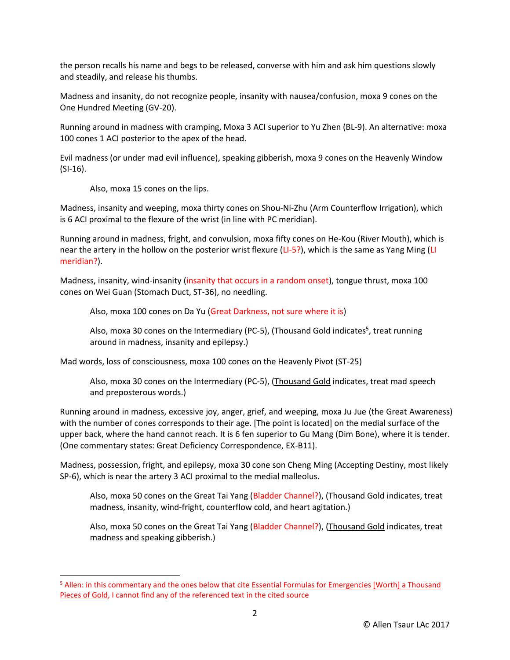the person recalls his name and begs to be released, converse with him and ask him questions slowly and steadily, and release his thumbs.

Madness and insanity, do not recognize people, insanity with nausea/confusion, moxa 9 cones on the One Hundred Meeting (GV-20).

Running around in madness with cramping, Moxa 3 ACI superior to Yu Zhen (BL-9). An alternative: moxa 100 cones 1 ACI posterior to the apex of the head.

Evil madness (or under mad evil influence), speaking gibberish, moxa 9 cones on the Heavenly Window (SI-16).

Also, moxa 15 cones on the lips.

l

Madness, insanity and weeping, moxa thirty cones on Shou-Ni-Zhu (Arm Counterflow Irrigation), which is 6 ACI proximal to the flexure of the wrist (in line with PC meridian).

Running around in madness, fright, and convulsion, moxa fifty cones on He-Kou (River Mouth), which is near the artery in the hollow on the posterior wrist flexure (LI-5?), which is the same as Yang Ming (LI meridian?).

Madness, insanity, wind-insanity (insanity that occurs in a random onset), tongue thrust, moxa 100 cones on Wei Guan (Stomach Duct, ST-36), no needling.

Also, moxa 100 cones on Da Yu (Great Darkness, not sure where it is)

Also, moxa 30 cones on the Intermediary (PC-5), (Thousand Gold indicates<sup>5</sup>, treat running around in madness, insanity and epilepsy.)

Mad words, loss of consciousness, moxa 100 cones on the Heavenly Pivot (ST-25)

Also, moxa 30 cones on the Intermediary (PC-5), (Thousand Gold indicates, treat mad speech and preposterous words.)

Running around in madness, excessive joy, anger, grief, and weeping, moxa Ju Jue (the Great Awareness) with the number of cones corresponds to their age. [The point is located] on the medial surface of the upper back, where the hand cannot reach. It is 6 fen superior to Gu Mang (Dim Bone), where it is tender. (One commentary states: Great Deficiency Correspondence, EX-B11).

Madness, possession, fright, and epilepsy, moxa 30 cone son Cheng Ming (Accepting Destiny, most likely SP-6), which is near the artery 3 ACI proximal to the medial malleolus.

Also, moxa 50 cones on the Great Tai Yang (Bladder Channel?), (Thousand Gold indicates, treat madness, insanity, wind-fright, counterflow cold, and heart agitation.)

Also, moxa 50 cones on the Great Tai Yang (Bladder Channel?), (Thousand Gold indicates, treat madness and speaking gibberish.)

<sup>&</sup>lt;sup>5</sup> Allen: in this commentary and the ones below that cite Essential Formulas for Emergencies [Worth] a Thousand Pieces of Gold, I cannot find any of the referenced text in the cited source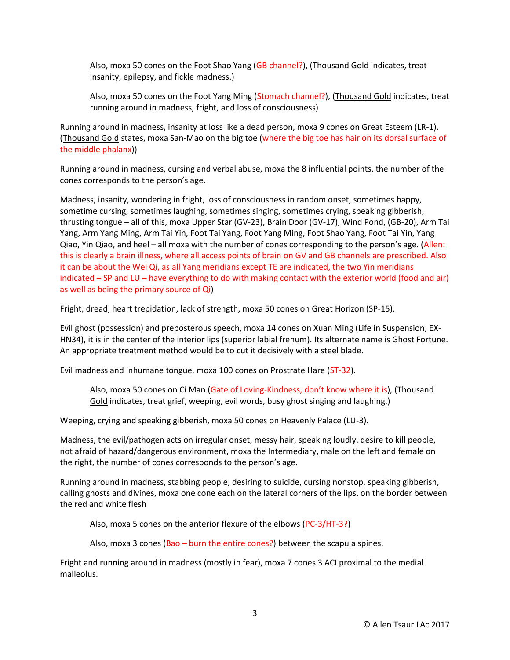Also, moxa 50 cones on the Foot Shao Yang (GB channel?), (Thousand Gold indicates, treat insanity, epilepsy, and fickle madness.)

Also, moxa 50 cones on the Foot Yang Ming (Stomach channel?), (Thousand Gold indicates, treat running around in madness, fright, and loss of consciousness)

Running around in madness, insanity at loss like a dead person, moxa 9 cones on Great Esteem (LR-1). (Thousand Gold states, moxa San-Mao on the big toe (where the big toe has hair on its dorsal surface of the middle phalanx))

Running around in madness, cursing and verbal abuse, moxa the 8 influential points, the number of the cones corresponds to the person's age.

Madness, insanity, wondering in fright, loss of consciousness in random onset, sometimes happy, sometime cursing, sometimes laughing, sometimes singing, sometimes crying, speaking gibberish, thrusting tongue – all of this, moxa Upper Star (GV-23), Brain Door (GV-17), Wind Pond, (GB-20), Arm Tai Yang, Arm Yang Ming, Arm Tai Yin, Foot Tai Yang, Foot Yang Ming, Foot Shao Yang, Foot Tai Yin, Yang Qiao, Yin Qiao, and heel – all moxa with the number of cones corresponding to the person's age. (Allen: this is clearly a brain illness, where all access points of brain on GV and GB channels are prescribed. Also it can be about the Wei Qi, as all Yang meridians except TE are indicated, the two Yin meridians indicated – SP and LU – have everything to do with making contact with the exterior world (food and air) as well as being the primary source of Qi)

Fright, dread, heart trepidation, lack of strength, moxa 50 cones on Great Horizon (SP-15).

Evil ghost (possession) and preposterous speech, moxa 14 cones on Xuan Ming (Life in Suspension, EX-HN34), it is in the center of the interior lips (superior labial frenum). Its alternate name is Ghost Fortune. An appropriate treatment method would be to cut it decisively with a steel blade.

Evil madness and inhumane tongue, moxa 100 cones on Prostrate Hare (ST-32).

Also, moxa 50 cones on Ci Man (Gate of Loving-Kindness, don't know where it is), (Thousand Gold indicates, treat grief, weeping, evil words, busy ghost singing and laughing.)

Weeping, crying and speaking gibberish, moxa 50 cones on Heavenly Palace (LU-3).

Madness, the evil/pathogen acts on irregular onset, messy hair, speaking loudly, desire to kill people, not afraid of hazard/dangerous environment, moxa the Intermediary, male on the left and female on the right, the number of cones corresponds to the person's age.

Running around in madness, stabbing people, desiring to suicide, cursing nonstop, speaking gibberish, calling ghosts and divines, moxa one cone each on the lateral corners of the lips, on the border between the red and white flesh

Also, moxa 5 cones on the anterior flexure of the elbows (PC-3/HT-3?)

Also, moxa 3 cones (Bao – burn the entire cones?) between the scapula spines.

Fright and running around in madness (mostly in fear), moxa 7 cones 3 ACI proximal to the medial malleolus.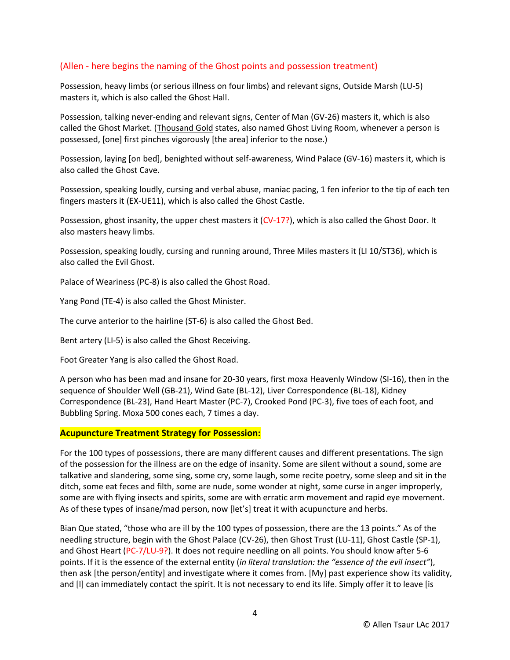### (Allen - here begins the naming of the Ghost points and possession treatment)

Possession, heavy limbs (or serious illness on four limbs) and relevant signs, Outside Marsh (LU-5) masters it, which is also called the Ghost Hall.

Possession, talking never-ending and relevant signs, Center of Man (GV-26) masters it, which is also called the Ghost Market. (Thousand Gold states, also named Ghost Living Room, whenever a person is possessed, [one] first pinches vigorously [the area] inferior to the nose.)

Possession, laying [on bed], benighted without self-awareness, Wind Palace (GV-16) masters it, which is also called the Ghost Cave.

Possession, speaking loudly, cursing and verbal abuse, maniac pacing, 1 fen inferior to the tip of each ten fingers masters it (EX-UE11), which is also called the Ghost Castle.

Possession, ghost insanity, the upper chest masters it (CV-17?), which is also called the Ghost Door. It also masters heavy limbs.

Possession, speaking loudly, cursing and running around, Three Miles masters it (LI 10/ST36), which is also called the Evil Ghost.

Palace of Weariness (PC-8) is also called the Ghost Road.

Yang Pond (TE-4) is also called the Ghost Minister.

The curve anterior to the hairline (ST-6) is also called the Ghost Bed.

Bent artery (LI-5) is also called the Ghost Receiving.

Foot Greater Yang is also called the Ghost Road.

A person who has been mad and insane for 20-30 years, first moxa Heavenly Window (SI-16), then in the sequence of Shoulder Well (GB-21), Wind Gate (BL-12), Liver Correspondence (BL-18), Kidney Correspondence (BL-23), Hand Heart Master (PC-7), Crooked Pond (PC-3), five toes of each foot, and Bubbling Spring. Moxa 500 cones each, 7 times a day.

#### **Acupuncture Treatment Strategy for Possession:**

For the 100 types of possessions, there are many different causes and different presentations. The sign of the possession for the illness are on the edge of insanity. Some are silent without a sound, some are talkative and slandering, some sing, some cry, some laugh, some recite poetry, some sleep and sit in the ditch, some eat feces and filth, some are nude, some wonder at night, some curse in anger improperly, some are with flying insects and spirits, some are with erratic arm movement and rapid eye movement. As of these types of insane/mad person, now [let's] treat it with acupuncture and herbs.

Bian Que stated, "those who are ill by the 100 types of possession, there are the 13 points." As of the needling structure, begin with the Ghost Palace (CV-26), then Ghost Trust (LU-11), Ghost Castle (SP-1), and Ghost Heart (PC-7/LU-9?). It does not require needling on all points. You should know after 5-6 points. If it is the essence of the external entity (*in literal translation: the "essence of the evil insect"*), then ask [the person/entity] and investigate where it comes from. [My] past experience show its validity, and [I] can immediately contact the spirit. It is not necessary to end its life. Simply offer it to leave [is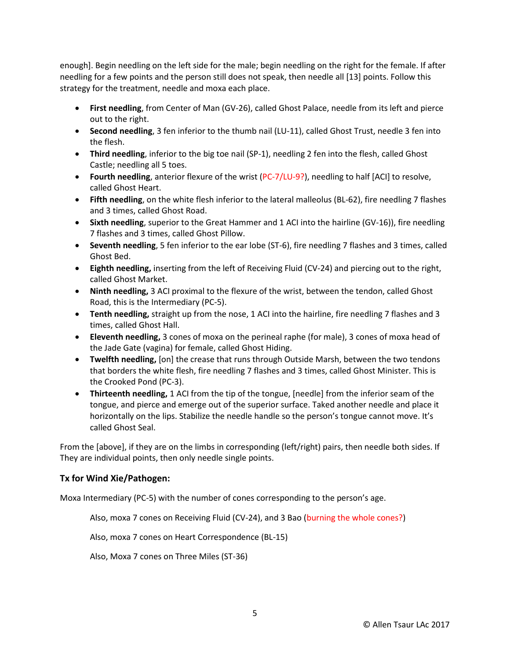enough]. Begin needling on the left side for the male; begin needling on the right for the female. If after needling for a few points and the person still does not speak, then needle all [13] points. Follow this strategy for the treatment, needle and moxa each place.

- **First needling**, from Center of Man (GV-26), called Ghost Palace, needle from its left and pierce out to the right.
- **Second needling**, 3 fen inferior to the thumb nail (LU-11), called Ghost Trust, needle 3 fen into the flesh.
- **Third needling**, inferior to the big toe nail (SP-1), needling 2 fen into the flesh, called Ghost Castle; needling all 5 toes.
- **Fourth needling**, anterior flexure of the wrist (PC-7/LU-9?), needling to half [ACI] to resolve, called Ghost Heart.
- **Fifth needling**, on the white flesh inferior to the lateral malleolus (BL-62), fire needling 7 flashes and 3 times, called Ghost Road.
- **Sixth needling**, superior to the Great Hammer and 1 ACI into the hairline (GV-16)), fire needling 7 flashes and 3 times, called Ghost Pillow.
- **Seventh needling**, 5 fen inferior to the ear lobe (ST-6), fire needling 7 flashes and 3 times, called Ghost Bed.
- **Eighth needling,** inserting from the left of Receiving Fluid (CV-24) and piercing out to the right, called Ghost Market.
- **Ninth needling,** 3 ACI proximal to the flexure of the wrist, between the tendon, called Ghost Road, this is the Intermediary (PC-5).
- **Tenth needling,** straight up from the nose, 1 ACI into the hairline, fire needling 7 flashes and 3 times, called Ghost Hall.
- **Eleventh needling,** 3 cones of moxa on the perineal raphe (for male), 3 cones of moxa head of the Jade Gate (vagina) for female, called Ghost Hiding.
- **Twelfth needling,** [on] the crease that runs through Outside Marsh, between the two tendons that borders the white flesh, fire needling 7 flashes and 3 times, called Ghost Minister. This is the Crooked Pond (PC-3).
- **Thirteenth needling,** 1 ACI from the tip of the tongue, [needle] from the inferior seam of the tongue, and pierce and emerge out of the superior surface. Taked another needle and place it horizontally on the lips. Stabilize the needle handle so the person's tongue cannot move. It's called Ghost Seal.

From the [above], if they are on the limbs in corresponding (left/right) pairs, then needle both sides. If They are individual points, then only needle single points.

### **Tx for Wind Xie/Pathogen:**

Moxa Intermediary (PC-5) with the number of cones corresponding to the person's age.

Also, moxa 7 cones on Receiving Fluid (CV-24), and 3 Bao (burning the whole cones?)

Also, moxa 7 cones on Heart Correspondence (BL-15)

Also, Moxa 7 cones on Three Miles (ST-36)